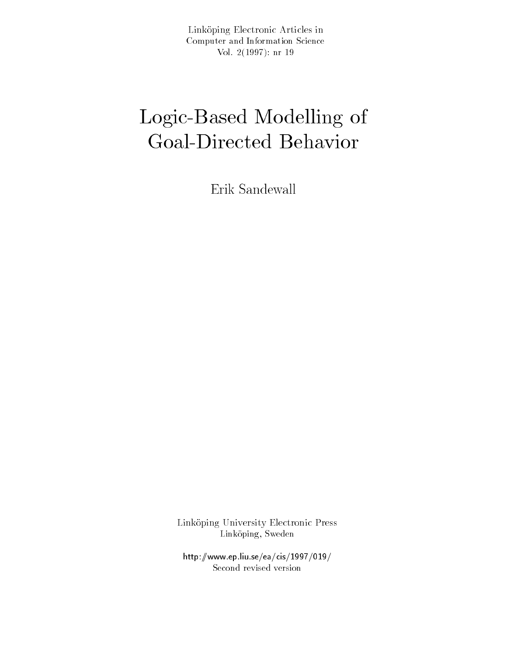Link-oping Electronic Articles in Computer and Information Science  $\mathcal{N}$  and  $\mathcal{N}$  are all  $\mathcal{N}$  and  $\mathcal{N}$  are all  $\mathcal{N}$  are all  $\mathcal{N}$  and  $\mathcal{N}$  are all  $\mathcal{N}$  are all  $\mathcal{N}$  and  $\mathcal{N}$  are all  $\mathcal{N}$  are all  $\mathcal{N}$  and  $\mathcal{N}$  are all  $\mathcal{N}$  are all  $\math$ 

# Logic-Based Modelling of Government Behavior behavior behavior behavior behavior deserts and controlled behavior behavior behavioren be

Erik Sandewall

Link-oping University Electronic Press Link oping Sweden

http-wwwepliuseeacis Second revised version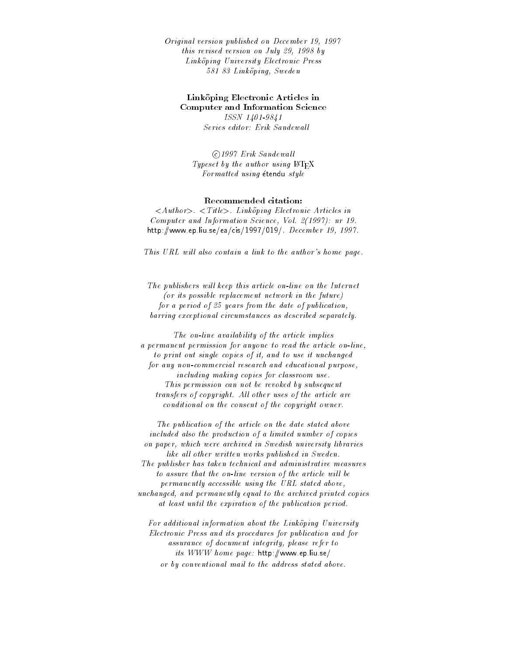Original version published on December - this revised version on July - by Linkoping University Electronic Press oos oo saariisay is saarii

## Link-oping Electronic Articles in Computer and Information Science

ISSN ---Series editor: Erik Sandewall

©1997 Erik Sandewall Typeset by the author using  $\text{IAT}_\text{F}X$ Formatted using étendu style

## Recommended citation

Authority Authority Constituting Electronic Articles in Articles Computer and Information Science Vol - nr http://www.archive.com/www.archive.com/www.archive.com/www.archive.com/www.archive.com/www.archive.com/www.archive.com/www.archive.com/www.archive.com/www.archive.com/www.archive.com/www.archive.com/www.archive.com/www.arc

This URL will also contain a link to the author's home page.

The publishers will keep this article on-line on the Internet  $($ or its possible replacement network in the future $)$ for a period of  $25$  years from the date of publication, barring exceptional circumstances as described separately

The on
line availability of the article implies a permanent permission for anyone to read the article on
line to print out single copies of it, and to use it unchanged for any non
commercial research and educational purpose including making copies for classroom use This permission can not be revoked by subsequent transfers of copyright. All other uses of the article are conditional on the consent of the copyright owner

The publication of the article on the date stated above included also the production of a limited number of copies on paper, which were archived in Swedish university libraries like all other written works published in Sweden. The publisher has taken technical and administrative measures to assure that the on-line version of the article will be permanently accessible using the URL stated above unchanged, and permanently equal to the archived printed copies at least until the expiration of the publication period

For additional information about the Linkoping University Electronic Press and its procedures for publication and for assurance of document integrity, please refer to its www.www.prg.com.com/www.mager.com/ or by conventional mail to the address stated above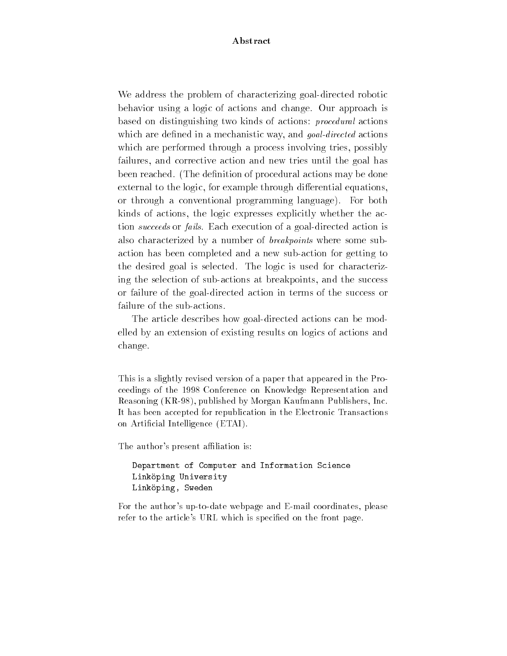## Abstract

We address the problem of characterizing goal-directed robotic behavior using a logic of actions and change. Our approach is based on distinguishing two kinds of actions: *procedural* actions which are dictined in a mechanistic way and goal-action actions which are performed through a process involving tries, possibly failures, and corrective action and new tries until the goal has been reached. (The definition of procedural actions may be done external to the logic, for example through differential equations, or through a conventional programming language For both kinds of actions, the logic expresses explicitly whether the action *succeeds* or *fails*. Each execution of a goal-directed action is also characterized by a number of *breakpoints* where some subaction has been completed and a new sub-action for getting to the desired goal is selected. The logic is used for characterizing the selection of sub-actions at breakpoints, and the success or failure of the goal-directed action in terms of the success or failure of the sub-actions.

The article describes how goal-directed actions can be modelled by an extension of existing results on logics of actions and change

This is a slightly revised version of a paper that appeared in the Pro ceedings of the 
 Conference on Knowledge Representation and Reasoning (KR-98), published by Morgan Kaufmann Publishers, Inc. It has been accepted for republication in the Electronic Transactions on Artificial Intelligence (ETAI).

The author's present affiliation is:

```
Department of Computer and Information ScienceLink-
oping UniversityLink-
oping Sweden
```
For the author's up-to-date webpage and E-mail coordinates, please refer to the article's URL which is specified on the front page.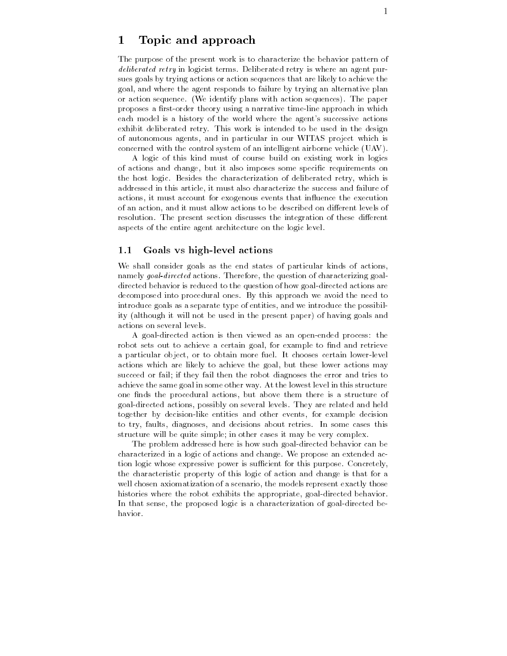## Topic and approach

The purpose of the present work is to characterize the behavior pattern of deliberated retry in logicist terms- Deliberated retry is where an agent pur sues goals by trying actions or action sequences that are likely to achieve the goal and where the agent responds to failure by trying an alternative plan or action sequence-in sequence-in-the paper with a sequence-in-the paper with a sequences-in-the-paper with a proposes a first-order theory using a narrative time-line approach in which each model is a history of the world where the agent's successive actions exhibit deliberated retry- This work is intended to be used in the design of autonomous agents, and in particular in our WITAS project which is concerned with the control system of an intelligent airborne vehicle  $(UAV)$ .

A logic of this kind must of course build on existing work in logics of actions and change, but it also imposes some specific requirements on the host logic-besides the characterization of deliberation field, which is addressed in this article it must also characterize the success and failure of actions, it must account for exogenous events that influence the execution of an action and it must allow actions to be described on di erent levels of resolution- The present section discusses the integration of these di erent aspects of the entire agent architecture on the logic level-

#### $1.1$ Goals vs high-level actions

We shall consider goals as the end states of particular kinds of actions. actions, goal actions-actions-communicated actions-actions-actions-actions-actionsdirected behavior is reduced to the question of how goal-directed actions are decomposed into procedural ones- By this approach we avoid the need to introduce goals as a separate type of entities, and we introduce the possibility (although it will not be used in the present paper) of having goals and actions on several levels-

A goal-directed action is then viewed as an open-ended process: the robot sets out to achieve a certain goal, for example to find and retrieve a particular object or to obtain more fuel- it chooses contain a collection in actions which are likely to achieve the goal, but these lower actions may succeed or fail if they fail then the robot diagnoses the error and tries to achieve the same goal in some other way-the level in the lowest level in this structure. one finds the procedural actions, but above them there is a structure of goal directed actions possibly on several levels-based and related and held together by decision-like entities and other events, for example decision to try faults diagnoses are decisions about retries- the some cases this cases structure will be quite simple; in other cases it may be very complex.

The problem addressed here is how such goal-directed behavior can be characterized in a logic of actions and change- We propose an extended ac tion logic whose expressive power is su
cient for this purpose- Concretely the characteristic property of this logic of action and change is that for a well chosen axiomatization of a scenario, the models represent exactly those histories where the robot exhibits the appropriate, goal-directed behavior. In that sense, the proposed logic is a characterization of goal-directed behavior.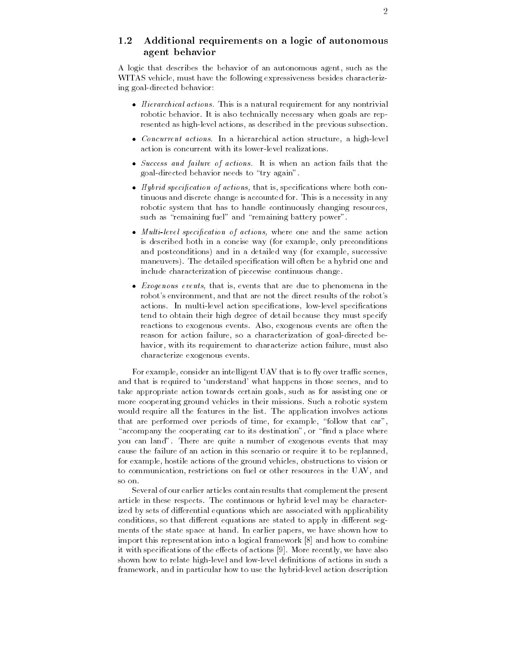## - Additional requirements on a logic of autonomous agent behavior

A logic that describes the behavior of an autonomous agent, such as the WITAS vehicle, must have the following expressiveness besides characterizing goal-directed behavior:

- $\bullet$  *Hierarchical actions.* This is a natural requirement for any nontrivial robotic behavior- It is also technically necessary when goals are rep resented as high-level actions, as described in the previous subsection.
- $\bullet$  Concurrent actions. In a hierarchical action structure, a high-level  $\hspace{0.1mm}$ action is concurrent with its lower-level realizations.
- $\bullet$  Success and failure of actions. It is when an action fails that the goal-directed behavior needs to "try again".
- $\bullet$  -*Hybrid specification of actions,* that is, specifications where both continuous and discrete change is accounted for- This is a necessity in any robotic system that has to handle continuously changing resources, such as "remaining fuel" and "remaining battery power".
- $\bullet$  *Multi-level specification of actions,* where one and the same action is described both in a concise way (for example, only preconditions and postconditions) and in a detailed way (for example, successive maneuvers-detailed specialistic specialistic specialistic specialistic specialistic specialistic specialistic s include characterization of piecewise continuous change-
- $\bullet$  *Exogenous events*, that is, events that are due to phenomena in the robot's environment, and that are not the direct results of the robot's actions- actions action species lowledge specialistics in the special special special special special special tend to obtain their high degree of detail because they must specify reactions to exogenous events- Also exogenous events are often the reason for action failure, so a characterization of goal-directed behavior, with its requirement to characterize action failure, must also characterize exogenous events-

For example, consider an intelligent UAV that is to fly over traffic scenes, and that is required to 'understand' what happens in those scenes, and to take appropriate action towards certain goals, such as for assisting one or more cooperating ground vehicles in their missions- Such a robotic system would require all the features in the list-theory in the list-theory in the listthat are performed over periods of time, for example, "follow that car", "accompany the cooperating car to its destination", or "find a place where you can land - There are quite a number of the  $\pi$ cause the failure of an action in this scenario or require it to be replanned for example, hostile actions of the ground vehicles, obstructions to vision or to communication, restrictions on fuel or other resources in the UAV, and so on

Several of our earlier articles contain results that complement the present article in the complete and continuous or hydric level may be continuous or the continuous ized by sets of di erential equations which are associated with applicability conditions so that di erent equations are stated to apply in di erent seg ments of the state space at hand- In earlier papers we have shown how to import this representation into a logical framework  $[8]$  and how to combine it with specications of the e ects of actions - More recently we have also shown how to relate high-level and low-level definitions of actions in such a framework, and in particular how to use the hybrid-level action description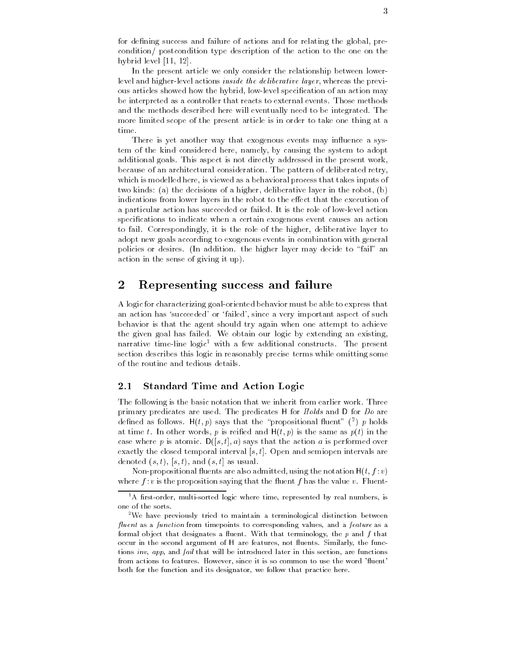for defining success and failure of actions and for relating the global, precondition/ postcondition type description of the action to the one on the hybrid level  $[11, 12]$ .

In the present article we only consider the relationship between lower level and higher-level actions *inside the deliberative layer*, whereas the previous articles showed how the hybrid, low-level specification of an action may be interpreted as a controller that reacts to external events- Those methods and the methods described here will eventually need to be integrated- The more limited scope of the present article is in order to take one thing at a time

There is yet another way that exogenous events may influence a system of the kind considered here, namely, by causing the system to adopt additional goals- which as post-like in the present in the present work, which because of an architectural consideration- The pattern of deliberated retry which is modelled here, is viewed as a behavioral process that takes inputs of two kinds: (a) the decisions of a higher, deliberative layer in the robot,  $(b)$ indications from lower layers in the robot to the e ect that the execution of a particular action has succeeded or failed-succeeded or failed-succeeded or failed-succeeded or failed-succeeded or failedspecifications to indicate when a certain exogenous event causes an action to fail- Correspondingly it is the role of the higher deliberative layer to adopt new goals according to exogenous events in combination with general policies or desires- In addition- the higher layer may decide to fail an  $\alpha$  action in the sense of giving it up).

#### $\overline{2}$ Representing success and failure

A logic for characterizing goaloriented behavior must be able to express that an action has 'succeeded' or 'failed', since a very important aspect of such behavior is that the agent should try again when one attempt to achieve the given give has failed- we obtain the failure  $\mathbb{R}^n$  and  $\mathbb{R}^n$  and  $\mathbb{R}^n$ narrative time-line-logic" with a lew additional constructs. The present  $$ section describes this logic in reasonably precise terms while omitting some of the routine and tedious details-

#### $2.1\,$ Standard Time and Action Logic

the following is the basic notation that we inherite from earlier work- that we have primary predicates Hrs and The predicates in the Holds and The Holds and denned as follows.  $\mathsf{\Pi}(t, p)$  says that the -propositional fluent -(")  $p$  holds -at time to me the same words p is reied a same as parameter words parameters. case where p is atomic-  $\equiv$  (performed only that the action at is performed over exactly the closed temporal interval s t- Open and semiopen intervals are denoted  $(s, t)$ ,  $(s, t)$ , and  $(s, t]$  as usual.

Non-propositional fluents are also admitted, using the notation  $H(t, f : v)$ where  $f$  is the the proposition saying that the masses  $f$  has the value  $\cdot$  for  $\cdot$   $\cdot$   $\cdot$   $\cdot$   $\cdot$ 

<sup>-</sup> A first-order, multi-sorted logic where time, represented by real numbers, is one of the sorts

<sup>-</sup>We have previously tried to maintain a terminological distinction between fluent as a function from timepoints to corresponding values, and a feature as a formal object that designates a fluent. With that terminology, the  $p$  and  $f$  that occur in the second argument of H are features, not fluents. Similarly, the functions inv, app, and fail that will be introduced later in this section, are functions from actions to features. However, since it is so common to use the word 'fluent' both for the function and its designator, we follow that practice here.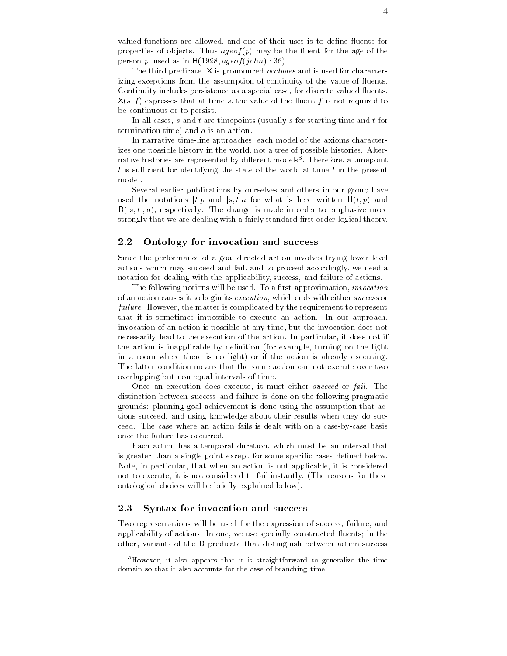valued functions are allowed, and one of their uses is to define fluents for properties of objects. Shows ageof the may be the material for the children person p used as in  $H(1998, a \neq of (iohn) : 36)$ .

The third predicate, X is pronounced *occludes* and is used for characterizing exceptions from the assumption of continuity of the value of fluents. Continuity includes persistence as a special case, for discrete-valued fluents.  $X(s, f)$  expresses that at time s, the value of the fluent f is not required to be continuous or to persist.

In all cases, s and t are timepoints (usually s for starting time and t for termination time) and  $a$  is an action.

In narrative time-line approaches, each model of the axioms characterizes one possible history in the world not a tree of possible histories- Alter native histories are represented by different models". Therefore, a timepoint th  $t$  is sufficient for identifying the state of the world at time  $t$  in the present model.

Several earlier publications by ourselves and others in our group have used the notations  $[t]p$  and  $[s, t]a$  for what is here written  $H(t, p)$  and Ds t a respectively- The change is made in order to emphasize more strongly that we are dealing with a fairly standard first-order logical theory.

#### $\bf 2.2$ Ontology for invocation and success

Since the performance of a goal-directed action involves trying lower-level actions which may succeed and fail, and to proceed accordingly, we need a notation for dealing with the applicability, success, and failure of actions.

<u>the following mollows will be used-the used-the proximation</u> invocation in of an action causes it to begin its execution which ends with either success or failure- However the matter is complicated by the requirement to represent that it is sometimes important to execute and action- an action-  $\alpha$ invocation of an action is possible at any time, but the invocation does not necessarily lead to the execution of the action-based to the action-based of the action-based of the action-based of the actionthe action is inapplicable by definition (for example, turning on the light in a room where there is no light) or if the action is already executing. The latter condition means that the same action can not execute over two overlapping but non-equal intervals of time.

Once an execution does execute it must either succeed or fail- The distinction between success and failure is done on the following pragmatic grounds: planning goal achievement is done using the assumption that actions succeed, and using knowledge about their results when they do succeed-- The case where an action fails is dealt with on an action of the caseb once the failure has occurred-

Each action has a temporal duration which must be an interval that is greater than a single point except for some specific cases defined below. Note, in particular, that when an action is not applicable, it is considered not to execute it is not considered to fail instantly-distinguished to fail instantly-distinguished to fail in ontological choices will be briefly explained below).

#### $2.3$ Syntax for invocation and success

Two representations will be used for the expression of success, failure, and application of actions-we use specially constructed to the model of the construction of the construction of th other, variants of the D predicate that distinguish between action success

<sup>&</sup>lt;sup>3</sup>However, it also appears that it is straightforward to generalize the time domain so that it also accounts for the case of branching time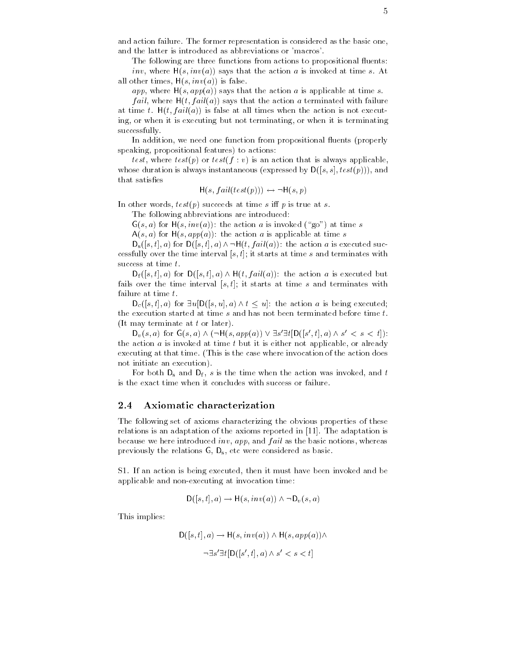and action failure- The former representation is considered as the basic one of the basic ones and the latter is introduced as abbreviations or 'macros'.

The following are three functions from actions to propositional fluents: inva says that is invariant that the action and investigated at time section at time section and time section all other times,  $H(s, inv(a))$  is false.

app, where  $H(s, app(a))$  says that the action a is applicable at time s.

*fail*, where  $H(t, fail(a))$  says that the action a terminated with failure at time t-time t-times when the all times when the action is not executive when the action is not executive when the action is not executive when the action is not executive when the action is not executive when the actio ing or when it is executing but not terminating or when it is terminating successfully.

In addition, we need one function from propositional fluents (properly speaking, propositional features) to actions:

test, where  $test(p)$  or  $test(f : v)$  is an action that is always applicable, whose duration is always instantaneous (expressed by  $D([s, s], test(p)))$ , and that satisfies

$$
H(s, fail(test(p))) \leftrightarrow \neg H(s,p)
$$

In other words test pairs at time succeeds at time succeeds at time succeeds at time s in time s in time succeeds at  $\mathbf{r}$ 

The following abbreviations are introduced

 $G(s, a)$  for  $H(s, inv(a))$ : the action a is invoked ("go") at time s

 $A(s, a)$  for  $H(s, app(a))$ : the action a is applicable at time s

 $D_s([s,t],a)$  for  $D([s,t],a) \wedge \neg H(t, fail(a))$ : the action a is executed successfully over the time interval  $[s, t]$ ; it starts at time s and terminates with success at time  $t$ .

 $D_f([s,t],a)$  for  $D([s,t],a) \wedge H(t, fail(a))$ : the action a is executed but fails over the time interval  $[s, t]$ ; it starts at time s and terminates with failure at time  $t$ .

 $D_c([s, t], a)$  for  $\exists u[D([s, u], a) \wedge t \leq u]$ : the action a is being executed; the execution started at time  $s$  and has not been terminated before time  $t$ . (It may terminate at  $t$  or later).

 $D_v(s, a)$  for  $G(s, a) \wedge (\neg H(s, app(a)) \vee \exists s' \exists t [D([s', t], a) \wedge s' < s < t])$ : the action  $a$  is invoked at time  $t$  but it is either not applicable, or already executing at that time-  $\frac{1}{2}$  mass is the case where invocation as the action does not initiate an execution).

For both  $D_s$  and  $D_f$ , s is the time when the action was invoked, and t is the exact time when it concludes with success or failure.

#### 2.4 Axiomatic characterization

The following set of axioms characterizing the obvious properties of these relations is an adaptation of the axioms reported in - The adaptation is because we here introduced inv, app, and  $fail$  as the basic notions, whereas previously the relations  $G$ ,  $D_s$ , etc were considered as basic.

S- If an action is being executed then it must have been invoked and be applicable and non-executing at invocation time:

$$
\mathsf{D}([s,t],a)\to \mathsf{H}(s,inv(a))\wedge\neg\mathsf{D}_v(s,a)
$$

This implies

$$
D([s, t], a) \to H(s, inv(a)) \land H(s, app(a)) \land
$$

$$
\neg \exists s' \exists t [D([s', t], a) \land s' < s < t]
$$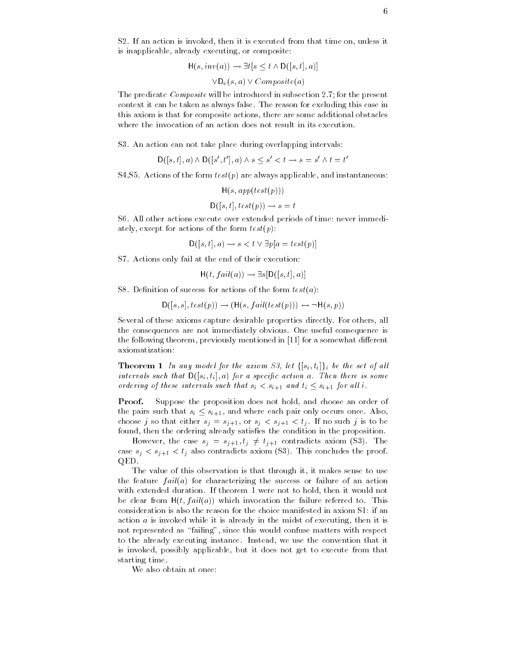s- is an action is involved that the involved from the second time on under the second from the second from th is inapplicable, already executing, or composite:

$$
H(s, inv(a)) \to \exists t [s \le t \land D([s, t], a)]
$$

$$
\forall D_v(s, a) \lor Composite(a)
$$

The predicate Composite will be introduced in subsection - for the present context it can be taken as always false- false-taken for this case in the case in this axiom is that for composite actions there are some additional obstacles

S- An action can not take place during overlapping intervals

$$
\mathsf{D}([s,t],a) \wedge \mathsf{D}([s',t'],a) \wedge s \leq s' < t \rightarrow s = s' \wedge t = t'
$$

stations of the form the form the form the form the form the form the form the form the form that is the form

$$
\mathsf{H}(s,app(test(p)))
$$

$$
\mathsf{D}([s,t], test(p)) \to s = t
$$

S- All other actions execute over extended periods of time never immedi ately, except for actions of the form  $test(p)$ :

 $D([s, t], a) \rightarrow s < t \vee \exists p[a = test(p)]$ 

S- Actions only fail at the end of their execution

$$
H(t, fail(a)) \to \exists s [D([s,t],a)]
$$

S- Denition of success for actions of the form testa

$$
D([s, s], test(p)) \rightarrow (H(s, fail(test(p))) \leftrightarrow \neg H(s, p))
$$

Several of these axioms capture desirable properties directly- For others all the consequences are not immediately obvious- One useful consequence is the following theorem previously mentioned in for a somewhat di erent axiomatization

**Theorem 1** In any model for the axiom S3, let  $\{[s_i, t_i]\}_i$  be the set of all intervals such that  $D([s_i, t_i], a)$  for a specific action a. Then there is some ordering of these intervals such that  $s_i < s_{i+1}$  and  $t_i \leq s_{i+1}$  for all i.

**Proof.** Suppose the proposition does not hold, and choose an order of the pairs such that  $s_i \leq s_{i+1}$ , and where each pair only occurs once. Also, choose jaar that either sj sj organisatie sj sj or sj or ste ste ste sjen ear de ste ste ste ste ste ste ste s found, then the ordering already satisfies the condition in the proposition.

However, the case  $s_j = s_{j+1}, t_j \neq t_{j+1}$  contradicts axiom (S3). The case sj sj plant dictation state and state the proof-QED-

The value of this observation is that through it, it makes sense to use the feature  $fail(a)$  for characterizing the success or failure of an action with extended duration-duration-duration-duration-duration-duration-duration-duration-duration-duration-duratio  $\mathbf{A}$  and  $\mathbf{A}$  and  $\mathbf{A}$  are failure referred to-failure referred to-failure referred to-failure referred to-failure referred to-failure referred to-failure referred to-failure referred to-failure referred to-fa consideration is also the reason for the choice manifested in axiom S1: if an action  $\alpha$  is invoked while it is already in the midst of executing, then it is not represented as "failing", since this would confuse matters with respect to the algebra already executing instance-dynamics instead we use the convention that it is convention that it is  $\mathbf{u}$ is invoked, possibly applicable, but it does not get to execute from that starting time.

We also obtain at once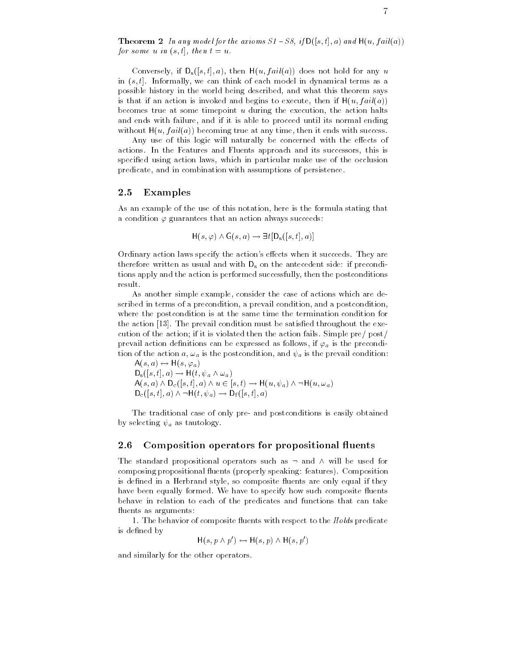Theorem In any model for the axioms S- S if Ds t a and Hu f aila for some u in  $(s, t]$ , then  $t = u$ .

Conversely, if  $D_s([s,t],a)$ , then  $H(u, fail(a))$  does not hold for any u in t-t-t-t-announced in think of each model in dynamical terms as as a a possible history in the world being described, and what this theorem says is that if an action is invoked and begins to execute, then if  $H(u, fail(a))$ becomes true at some timepoint  $u$  during the execution, the action halts and ends with failure, and if it is able to proceed until its normal ending without  $H(u, fail(a))$  becoming true at any time, then it ends with success

 $A$  use of this logic will naturally be concerned with the econcerned with the econcerned with the econcerned with the econ actions- In this case and Fluents and Fluents approach and its successor, this is such specified using action laws, which in particular make use of the occlusion predicate, and in combination with assumptions of persistence.

### 2.5 Examples

As an example of the use of this notation, here is the formula stating that a condition  $\varphi$  guarantees that an action always succeeds:

$$
H(s, \varphi) \land G(s, a) \rightarrow \exists t [D_s([s, t], a)]
$$

, when it succeeds the area in the actions of the actions are actions to actions the succeeding of the succeed therefore written as usual and with  $D_s$  on the antecedent side: if preconditions apply and the action is performed successfully then the postconditions result.

As another simple example, consider the case of actions which are described in terms of a precondition, a prevail condition, and a postcondition, where the postcondition is at the same time the termination condition for the action - The prevail condition must be satised throughout the exe cution of the action if it is violated then the action fails- Simple pre post prevail action definitions can be expressed as follows, if  $\varphi_a$  is the precondition of the action a,  $\omega_a$  is the postcondition, and  $\psi_a$  is the prevail condition:

 $A(s, a) \leftrightarrow H(s, \varphi_a)$  $D_{\rm s}([s,t],a) \rightarrow H(t,\psi_a \wedge \omega_a)$  $A(s, a) \wedge D_c([s, t], a) \wedge u \in [s, t) \rightarrow H(u, \psi_a) \wedge \neg H(u, \omega_a)$  $D_c([s, t], a) \wedge \neg H(t, \psi_a) \rightarrow D_f([s, t], a)$ 

The traditional case of only pre and postconditions is easily obtained by selecting  $\psi_a$  as tautology.

#### 2.6 Composition operators for propositional fluents

The standard propositional operators such as  $\neg$  and  $\wedge$  will be used for composition proposition in the proposition of the properly speaking features and the properly speaking feature is defined in a Herbrand style, so composite fluents are only equal if they matrix between equalizers for matrix of the specify measurement composite matrix of the such as a such that the behave in relation to each of the predicates and functions that can take fluents as arguments:

- The behavior of composite uents with respect to the Holds predicate is defined by

 $H(s, p \wedge p') \leftrightarrow H(s, p) \wedge H(s, p')$ 

and similarly for the other operators-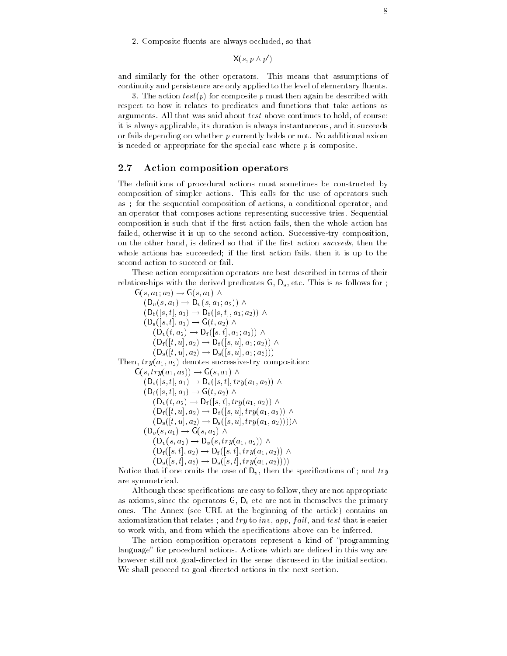- composite restaurant are always contracted so that t

 $X(s, p \wedge p')$ 

and similarly for the other operators- which include that assumptions of the continuity and persistence are only applied to the level of elementary fluents.

, the action test for composite p must then again be described with  $\alpha$ respect to how it relates to predicates and functions that take actions as arguments continues that was said above continues to that was said that was said  $\sim$ it is always applicable, its duration is always instantaneous, and it succeeds or fails depending on whether p currently holds or note of a different military is needed or appropriate for the special case where  $p$  is composite.

## Action composition operators

The definitions of procedural actions must sometimes be constructed by composition is simpler actions. This calls for the use of operators such a as; for the sequential composition of actions, a conditional operator, and an operator that composes actions representing successive tries- Sequential composition is such that if the first action fails, then the whole action has failed otherwise it is up to the second action- Successivetry composition on the other hand, is defined so that if the first action succeeds, then the whole actions has succeeded; if the first action fails, then it is up to the second action to succeed or fail.

These action composition operators are best described in terms of their relationships with the derived predicates G D D attitudes as follows for each  $\frac{1}{2}$ 

 $G(s, a_1; a_2) \rightarrow G(s, a_1) \wedge$  $(D_v(s, a_1) \rightarrow D_v(s, a_1; a_2)) \wedge$  $(D_f(|s,t|,a_1) \to D_f(|s,t|,a_1;a_2))$   $\wedge$  $(D_s(|s,t|,a_1) \rightarrow G(t,a_2) \wedge$  $(D_v(t, a_2) \rightarrow D_f(|s, t|, a_1; a_2)) \wedge$  $(D_f([t, u], a_2) \to D_f([s, u], a_1; a_2))$   $\wedge$  $(U_{\rm s}(|l, u|, a_2) \rightarrow U_{\rm s}(|s, u|, a_1; a_2))$ Then trya a- denotes successivetry composition  $G(s, try(a_1, a_2)) \rightarrow G(s, a_1) \wedge$  $(D_s(|s,t|,a_1) \to D_s(|s,t|,try(a_1,a_2))$   $\wedge$  $(D_f(|s,t|,a_1) \rightarrow G(t,a_2) \wedge$  $(D_v(t, a_2) \rightarrow D_f(|s,t|, try(a_1, a_2))$   $\wedge$  $(D_f(|t, u|, a_2) \rightarrow D_f(|s, u|, try(a_1, a_2))$   $\wedge$  $(D_s([t, u], a_2) \rightarrow D_s([s, u], try(a_1, a_2)))) \wedge$  $(D_v(s, a_1) \rightarrow G(s, a_2) \wedge$  $(D_v(s, a_2) \rightarrow D_v(s, try(a_1, a_2))$   $\wedge$  $(D_f(|s,t|,a_2) \rightarrow D_f(|s,t|,try(a_1,a_2))$   $\wedge$  $(D_s( |s, t|, a_2) \rightarrow D_s( |s, t|, try(a_1, a_2))$ 

Notice that if one omits the case of  $D_v$ , then the specifications of ; and try are symmetrical-

Although these specifications are easy to follow, they are not appropriate as axioms, since the operators  $G, D_s$  etc are not in themselves the primary ones-the Annex see URL at the Annex see URL at the article contains and the article contains and article contains an axiomatization that relates; and  $try$  to  $inv$ ,  $app$ ,  $fail$ , and  $test$  that is easier to work with, and from which the specifications above can be inferred.

The action composition operators represent a kind of "programming" language for procedural actions- Actions which are dened in this way are however still not goal-directed in the sense discussed in the initial section. We shall proceed to goal-directed actions in the next section.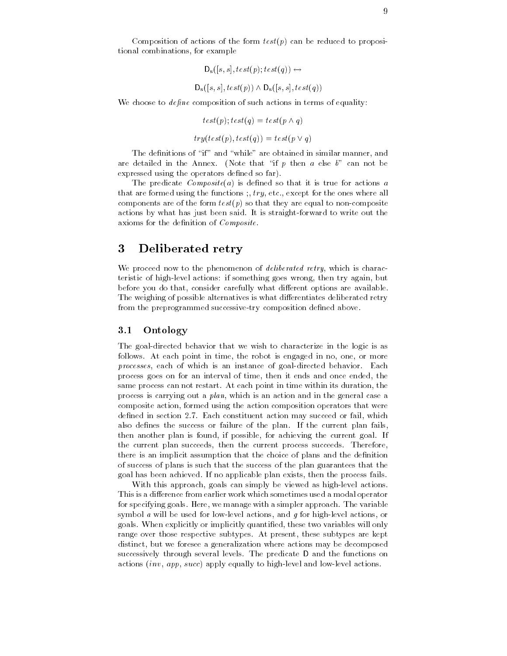Composition of actions of the form  $test(p)$  can be reduced to propositional combinations, for example

$$
D_s([s, s], test(p); test(q)) \leftrightarrow
$$
  

$$
D_s([s, s], test(p)) \land D_s([s, s], test(q))
$$

We choose to  $define$  composition of such actions in terms of equality:

$$
test(p); test(q) = test(p \land q)
$$

$$
try(test(p), test(q)) = test(p \lor q)
$$

The definitions of "if" and "while" are obtained in similar manner, and are detailed in the Annex-Core that include the process of the annotation and the expressed using the operators defined so far).

The predicate  $Composite(a)$  is defined so that it is true for actions a that we formed using the functions  $\eta$  ,  $\eta$  , and  $\eta$  for the ones where  $\eta$  and components are of the form  $test(p)$  so that they are equal to non-composite actions by what has just been said- it is straightforward to write out the comp axioms for the definition of  $Composite$ .

## 3 Deliberated retry

We proceed now to the phenomenon of *deliberated retry*, which is characteristic of high-level actions: if something goes wrong, then try again, but before you do that consider carefully what di erent options are available-The weighing of possible alternatives is what di erentiates deliberated retry from the preprogrammed successive-try composition defined above.

#### $\bf 3.1$ Ontology

The goal-directed behavior that we wish to characterize in the logic is as follows- At each point in time the robot is engaged in no one or more processes each of which is an instance of goaldirected behavior- Each process goes on for an interval of time, then it ends and once ended, the same process can not restart- At each point in time within its duration the process is carrying out a *plan*, which is an action and in the general case a composite action, formed using the action composition operators that were dened in section -- Each constituent action may succeed or fail which also denes the success or failure of the plan-tage of the plan-tage of the plan-tage of the plan-tage of the p then another plan is found if possible for achieving the current goal- If the current plan succeeds then the current process succeeds- Therefore there is an implicit assumption that the choice of plans and the definition of success of plans is such that the success of the plan guarantees that the goal has been achieved-then has been planted-plants-planets-plan exists fails-

With this approach, goals can simply be viewed as high-level actions. This is a di erence from earlier work which sometimes used a modal operator for specifying goals- Here we manage with a simpler approach- The variable symbol  $\alpha$  will be used for low-level actions, and  $\gamma$  for high-level actions, or go also the explicitly or implicitly quantities will only will only will only the set range over those respective subtypes- At present these subtypes are kept distinct, but we foresee a generalization where actions may be decomposed successively through several levels- The predicate D and the functions on actions  $(inv, app, succ)$  apply equally to high-level and low-level actions.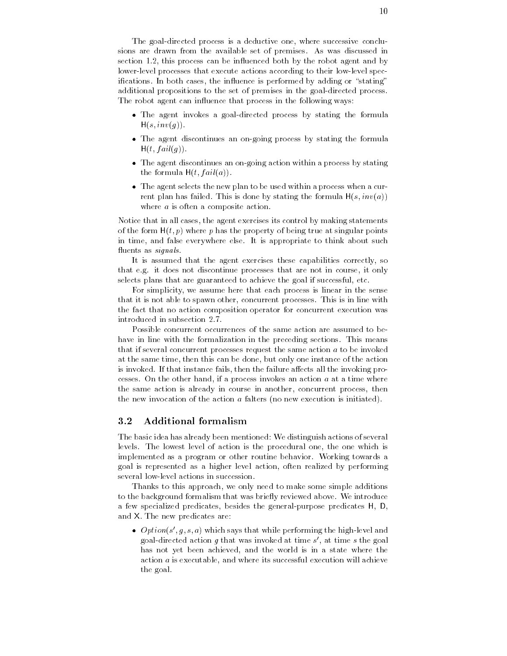The goal-directed process is a deductive one, where successive conclusions are drawn from the available set of premises- the the available set of  $\sim$ section requires process can be interested both by the robot agent and by lower-level processes that execute actions according to their low-level specications-in the internal cases the internal by performed by adding the stating or additional propositions to the set of premises in the goal-directed process. The robot agent can influence that process in the following ways:

- $\bullet$  The agent invokes a goal-directed process by stating the formula  $H(s, inv(g)).$
- $\bullet$  The agent discontinues an on-going process by stating the formula  $H(t, fail(g)).$
- $\bullet$  -the agent discontinues an on-going action within a process by stating the formula  $H(t, fail(a))$ .
- $\bullet$  The agent selects the new plan to be used within a process when a current plan has failed- This is done by stating the formula Hs inva where  $a$  is often a composite action.

Notice that in all cases the agent exercises its control by making statements of the form  $H(t, p)$  where p has the property of being true at singular points in time and false everywhere else- It is appropriate to think about such fluents as signals.

It is assumed that the agent exercises these capabilities correctly, so that e-g- it does not discontinue processes that are not in course it only selects plans that are guaranteed to achieve the goal if successful, etc.

For simplicity, we assume here that each process is linear in the sense that it is not able to spawn other concepts in line with processes. This is in line with  $\sim$ the fact that no action composition operator for concurrent execution was

Possible concurrent occurrences of the same action are assumed to be have in line with the formalization in the preceding sections- This means that if several concurrent processes request the same action a to be invoked at the same time, then this can be done, but only one instance of the action is invoked- If that instance fails then the failure a ects all the invoking pro cesses- on the other hand if a process invokes and it at a time where where  $\sim$ the same action is already in course in another, concurrent process, then the new invocation of the action  $a$  falters (no new execution is initiated).

## Additional formalism

The basic idea has already been mentioned: We distinguish actions of several levels- The lowest level of action is the procedural one the one which is implemented as a program or other routine behavior- Working towards a goal is represented as a higher level action often realized by performing several low-level actions in succession.

Thanks to this approach, we only need to make some simple additions to the background formalism that was brief was brief that we have a control was b a few specialized predicates, besides the general-purpose predicates H, D, and a new presence are new presence

 $\bullet$  -Option(s , g, s, a) which says that while performing the high-level and goal-directed action  $g$  that was invoked at time  $s$  , at time  $s$  the goal has not yet been achieved, and the world is in a state where the action  $a$  is executable, and where its successful execution will achieve the goal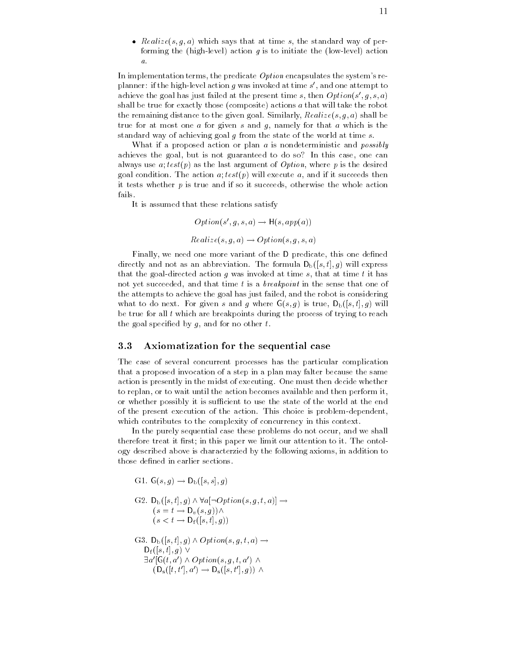$\bullet$  *Realize*(s,q,a) which says that at time s, the standard way of performing the (high-level) action  $g$  is to initiate the (low-level) action  $\overline{a}$ .

In implementation terms, the predicate  $Option$  encapsulates the system's replanner: if the high-level action  $q$  was invoked at time  $s$  , and one attempt to  $\hspace{0.1mm}$ achieve the goal has just failed at the present time  $s$ , then  $Option(s|, q, s, a)$ shall be true for exactly those (composite) actions  $a$  that will take the robot the remaining distance to the given game. Similarly Realize, 1999, Shall be a shall be a shall be a shall be a true for at most one  $a$  for given  $s$  and  $g$ , namely for that  $a$  which is the standard way of achieving goal  $g$  from the state of the world at time  $s$ .

What if a proposed action or plan a is nondeterministic and *possibly* achieves the goal, but is not guaranteed to do so? In this case, one can always use  $a; test(p)$  as the last argument of *Option*, where p is the desired  $\mathbf{u}$  condition-  $\mathbf{u}$  test parameters then and if it succeeds then and if it succeeds then and if it succeeds then and if it succeeds then and if it succeeds then and if it succeeds then and if it succeeds then and it tests whether  $p$  is true and if so it succeeds, otherwise the whole action fails.

It is assumed that these relations satisfy

$$
Option(s', g, s, a) \rightarrow H(s, app(a))
$$
  

$$
Realize(s, g, a) \rightarrow Option(s, g, s, a)
$$

Finally, we need one more variant of the D predicate, this one defined directly and not as an abbreviation-directly as an abbreviation-directly as an abbreviation-directly as a set  $\mathcal{L}$ that the goal-directed action  $g$  was invoked at time  $s$ , that at time  $t$  it has not yet succeeded, and that time t is a  $breakpoint$  in the sense that one of the attempts to achieve the goal has just failed, and the robot is considering  $\Box$  to do next-to do next-to-do next-to-do next-to-do next-to-do next-to-do nextbe true for all  $t$  which are breakpoints during the process of trying to reach the goal specified by  $g$ , and for no other  $t$ .

#### 3.3 Axiomatization for the sequential case

The case of several concurrent processes has the particular complication that a proposed invocation of a step in a plan may falter because the same action is presently in the midst of executing- One must then decide whether to replan, or to wait until the action becomes available and then perform it, or whether possibly it is sufficient to use the state of the world at the end of the present execution of the action-beam choice is problems supported. which contributes to the complexity of concurrency in this context.

In the purely sequential case these problems do not occur, and we shall therefore treat it rst in this paper we limit our attention to it- The ontol ogy described above is characterzied by the following axioms in addition to those defined in earlier sections.

G.L.  $G(s, g) \rightarrow D_b(|s, s|, g)$ 

G2. 
$$
D_b([s, t], g) \wedge \forall a [\neg Option(s, g, t, a)] \rightarrow
$$
  
\n $(s = t \rightarrow D_v(s, g)) \wedge$   
\n $(s < t \rightarrow D_f([s, t], g))$   
\nG2.  $D_c([s, t], a) \wedge Criticn(s, s, t, a)$ 

G3. 
$$
D_b([s,t], g) \wedge Option(s, g, t, a) \rightarrow
$$
  
\n
$$
D_f([s,t], g) \vee
$$
\n
$$
\exists a'[G(t,a') \wedge Option(s, g, t, a') \wedge (D_s([t,t'], a') \rightarrow D_s([s,t'], g)) \wedge
$$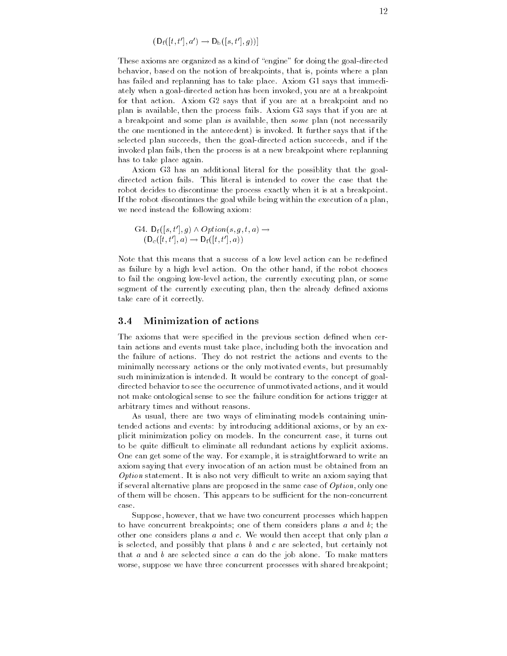$$
(\mathsf{D}_{\mathrm{f}}([t,t'],a') \to \mathsf{D}_{\mathrm{b}}([s,t'],g))]
$$

These axioms are organized as a kind of "engine" for doing the goal-directed behavior, based on the notion of breakpoints, that is, points where a plan has failed and replanning has to take place- Axiom G says that immedi ately when a goal-directed action has been invoked, you are at a breakpoint for that action- Axiom G says that if you are at a breakpoint and no plan is available then the process fails- Axiom G says that if you are at a breakpoint and some plan is available, then some plan (not necessarily the one mentioned in the antecedent is invoked- It further says that if the selected plan succeeds, then the goal-directed action succeeds, and if the invoked plan fails, then the process is at a new breakpoint where replanning has to take place again.

Axiom G3 has an additional literal for the possiblity that the goalrobot decides to discontinue the process exactly when it is at a breakpoint. If the robot discontinues the goal while being within the execution of a plan we need instead the following axiom

$$
\mathrm{G4.}\ \mathsf{D}_{\mathrm{f}}([s,t'],g) \land \mathit{Option}(s,g,t,a) \rightarrow \newline (\mathsf{D}_{\mathrm{c}}([t,t'],a) \rightarrow \mathsf{D}_{\mathrm{f}}([t,t'],a))
$$

Note that this means that a success of a low level action can be redefined as failure by a high level action- On the other hand if the robot chooses to fail the ongoing low-level action, the currently executing plan, or some segment of the currently executing plan, then the already defined axioms take care of it correctly-

#### Minimization of actions  $3.4$

The axioms that were specified in the previous section defined when certain actions and events must take place including both the invocation and the failure of actions- They do not restrict the actions and events to the minimally necessary actions or the only motivated events, but presumably such minimization is intended- It would be contrary to the concept of goal directed behavior to see the occurrence of unmotivated actions and it would not make ontological sense to see the failure condition for actions trigger at arbitrary times and without reasons-

As usual, there are two ways of eliminating models containing unintended actions and events: by introducing additional axioms, or by an explicit minimization policy on models- In the concurrent case it turns out to be quite difficult to eliminate all redundant actions by explicit axioms. One can get some of the way- For example it is straightforward to write an axiom saying that every invocation of an action must be obtained from an Option statement- It is also not very di
cult to write an axiom saying that if several alternative plans are proposed in the same case of  $Option$ , only one of them will be chosen- This appears to be su
cient for the nonconcurrent case-

Suppose, however, that we have two concurrent processes which happen to have concurrent breakpoints; one of them considers plans  $a$  and  $b$ ; the other one considers plans a and c- We would then accept that only plan a is selected, and possibly that plans  $b$  and  $c$  are selected, but certainly not that a more come selected since a can do the job alone- of money money aloneworse, suppose we have three concurrent processes with shared breakpoint;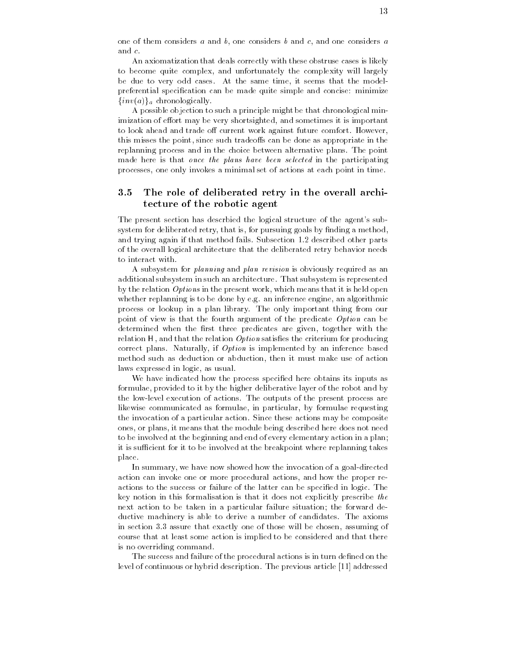one of them considers a and b, one considers b and c, and one considers a and  $c$ 

An axiomatization that deals correctly with these obstruse cases is likely to become quite complex, and unfortunately the complexity will largely , and the same time it seems that the same time it seems that the model preferential specification can be made quite simple and concise: minimize  $\{inv(a)\}\$ <sub>a</sub> chronologically.

A possible objection to such a principle might be that chronological min imization of e ort may be very shortsighted and sometimes it is important to look ahead and trade o current work against future comfort- However this misses the point since such tradeo s can be done as appropriate in the replanning process and in the choice between alternative plans- The point made here is that once the plans have been selected in the participating processes one only invokes a minimal set of actions at each point in time-

## 3.5 The role of deliberated retry in the overall architecture of the robotic agent

The present section has described the logical structure of the agent's subsystem for deliberated retry, that is, for pursuing goals by finding a method, and trying again if that method fails- Subsection - described other parts of the overall logical architecture that the deliberated retry behavior needs to interact with.

A subsystem for planning and plan revision is obviously required as an additional subsystem in such an architecture-control to the subsystem is represented to the control of the subs by the relation  $Options$  in the present work, which means that it is held open whether replanning is to be done by e-mail and algorithmic and algorithmic and algorithmic and algorithmic and process or lookup in a plan library- The only important thing from our point of view is that the fourth argument of the predicate Option can be determined when the first three predicates are given, together with the relation  $H$ , and that the relation *Option* satisfies the criterium for producing correct plans-by and inference based by an inference based by an inference based by an inference based by an i method such as deduction or abduction then it must make use of action laws expressed in logic, as usual.

We have indicated how the process specified here obtains its inputs as formulae, provided to it by the higher deliberative layer of the robot and by the lowlevel execution of actions- The outputs of the present process are likewise communicated as formulae, in particular, by formulae requesting the invocation is a particular action-district action-district may be composite the composite  $\mathcal{S}$ ones, or plans, it means that the module being described here does not need to be involved at the beginning and end of every elementary action in a plan it is sufficient for it to be involved at the breakpoint where replanning takes place.

In summary, we have now showed how the invocation of a goal-directed action can invoke one or more procedural actions, and how the proper reactions to the success or failure of the latter can be specied in logic- The key notion in this formalisation is that it does not explicitly prescribe the next action to be taken in a particular failure situation the forward de ductive machinery is able to derive  $\mathcal{M}$ in section - assuming one of the chosen assuming of the chosen assuming of those will be chosen assuming of the chosen assuming of the chosen assuming of the chosen assuming of the chosen assuming of the chosen assuming o course that at least some action is implied to be considered and that there is no overriding command.

The success and failure of the procedural actions is in turn defined on the level of continuous or hybrid description- The previous article addressed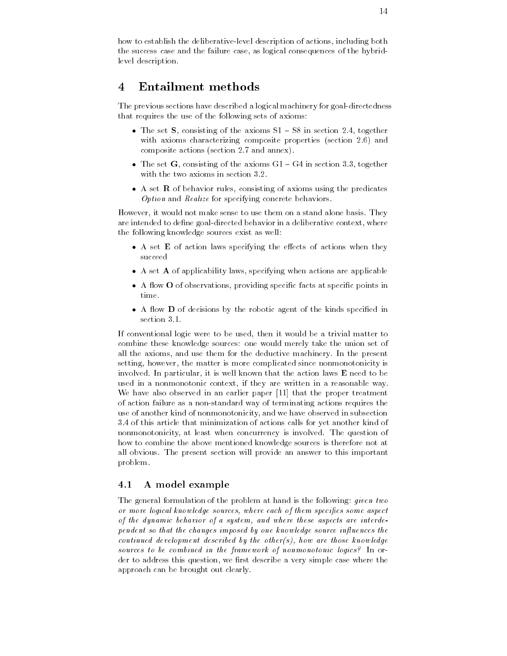how to establish the deliberative-level description of actions, including both the success case and the failure case, as logical consequences of the hybridlevel description.

#### **Entailment methods** 4

The previous sections have described a logical machinery for goal-directedness that requires the use of the following sets of axioms

- $\bullet$  The set  $\bullet$ , consisting of the axioms  $\mathcal{S}1$  =  $\mathcal{S}\mathcal{S}$  in section 2.4, together with and characterizing composite properties section -  $\blacksquare$ composite actions (activities and annual and an
- $\bullet$  The set G, consisting of the axioms GT = G4 in section 3.3, together
- $\bullet$  A set  ${\bf K}$  of behavior rules, consisting of axioms using the predicates Option and Realize for specifying concrete behaviors.

However it would not make sense to use them on a stand alone basis- They are intended to define goal-directed behavior in a deliberative context, where the following knowledge sources exist as well

- $\bullet$  A set  $\bf E$  of action laws specifying the effects of actions when they succeed
- $\bullet$  A set  ${\bf A}$  of applicability laws, specifying when actions are applicable
- $\bullet$  A flow  $\bullet$  of observations, providing specific facts at specific points in time
- $\bullet$  A flow  $\bf D$  of decisions by the robotic agent of the kinds specified in

If conventional logic were to be used, then it would be a trivial matter to combine these knowledge sources: one would merely take the union set of all the axioms and use the axioms and use the deductive machinery-deductive machinery-benefits machinery-benefi setting, however, the matter is more complicated since nonmonotonicity is involved-based-based-based-based-based-based-based-based-based-based-based-based-based-based-based-based-based used in a nonmonotonic context, if they are written in a reasonable way. We have also observed in an earlier paper  $[11]$  that the proper treatment of action failure as a nonstandard way of terminating actions requires the use of another kind of nonmonotonicity and we have observed in subsection - of this article that minimization of actions calls for yet another kind of nonmonotonicity at least when concurrency is involved- The question of how to combine the above mentioned knowledge sources is therefore not at all obvious- The present section will provide an answer to this important problem-

#### 4.1 A model example

The general formulation of the problem at hand is the following: *given two* or more logical knowledge sources, where each of them specifies some aspect of the dynamic behavior of a system and where these aspects are interde pendent so that the changes imposed by one knowledge source influences the continued development described by the other(s), how are those knowledge sources to be combined in the framework of nonmonotonic logics? In order to address this question, we first describe a very simple case where the approach can be brought out clearly-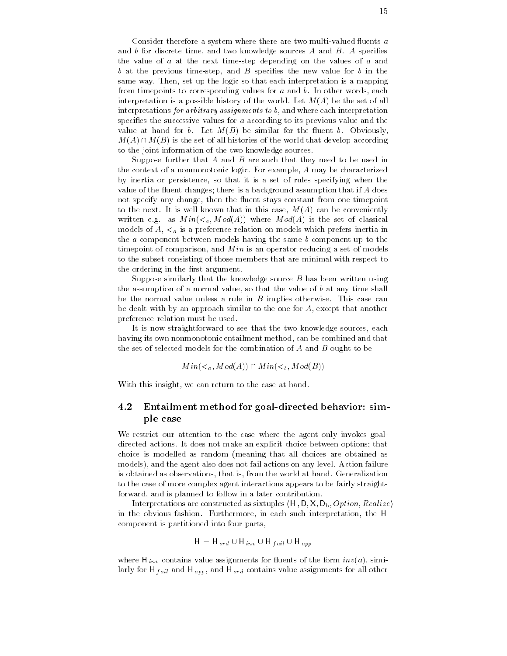Consider therefore a system where there are two multi-valued fluents  $a$ and the discrete time and two measures  $A$  and  $B$  and  $B$  and  $B$  and  $B$  and  $B$  and  $B$ the value of  $a$  at the next time-step depending on the values of  $a$  and b at the previous time-step, and  $B$  specifies the new value for b in the same way- the set up the logic so that each interpretation is a mapping from timepoints to corresponding values for a and b- In other words each interpretation is a possible history of the world- Let MA be the set of all interpretations for arbitrary assignments to  $b$ , and where each interpretation specifies the successive values for  $a$  according to its previous value and the value at hand for b- Let MB be similar for the uent b- Obviously  $M(A) \cap M(B)$  is the set of all histories of the world that develop according to the joint information of the two knowledge sources-

Suppose further that  $A$  and  $B$  are such that they need to be used in the context of a nonmonotonic logic- For example A may be characterized by inertia or persistence, so that it is a set of rules specifying when the value of the fluent changes; there is a background assumption that if  $A$  does not specify any change, then the fluent stays constant from one timepoint to the next-independent in the next-independent in this case  $M$  case  $M$  case  $M$  $\Box$  as  $\Box$  as M ode of classical indicates  $\Box$ models of  $A$ ,  $\lt_a$  is a preference relation on models which prefers inertia in the a component between models having the same b component up to the timepoint of comparison, and  $Min$  is an operator reducing a set of models to the subset consisting of those members that are minimal with respect to the ordering in the first argument.

Suppose similarly that the knowledge source  $B$  has been written using the assumption of a normal value, so that the value of  $b$  at any time shall be the normal value unit  $\Gamma$  in B implies of the normal value  $\Gamma$ be dealt with by an approach similar to the one for  $A$ , except that another preference relation must be used-

It is now straightforward to see that the two knowledge sources, each having its own nonmonotonic entailment method, can be combined and that the set of selected models for the combination of  $A$  and  $B$  ought to be

$$
Min(a, Mod(A)) \cap Min(b, Mod(B))
$$

With this insight, we can return to the case at hand.

### $4.2$ Entailment method for goal-directed behavior: simple case

We restrict our attention to the case where the agent only invokes goalaction actions - It does not make an explicit choice between the complication of the second choice is modelled as random (meaning that all choices are obtained as models and the agent also does not fail actions on any level- Action failure is obtained as observations that is from the world at hand- Generalization to the case of more complex agent interactions appears to be fairly straight forward, and is planned to follow in a later contribution.

Interpretations are constructed as sixtuples  $\langle H, D, X, D_b, Option, Realize \rangle$ in the obvious fashion- Furthermore in each such interpretation the H component is partitioned into four parts

$$
H = H_{ord} \cup H_{inv} \cup H_{fail} \cup H_{app}
$$

where  $\mathbf{H}_{\text{H}}$  contains value assignments for the form invariance  $\mathbf{H}_{\text{H}}$  in  $\mathbf{H}_{\text{H}}$ larly for H  $_{fail}$  and H  $_{app}$ , and H  $_{ord}$  contains value assignments for all other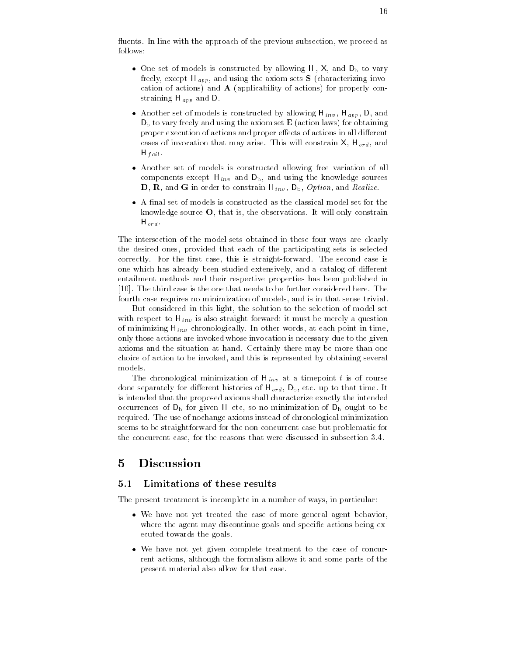uents- In line with the approach of the previous subsection we proceed as follows

- $\bullet$  Une set of models is constructed by allowing H , X, and  $D_{\rm b}$  to vary freely the except H apply the axiom sets sets S characterizing involvement  $\sim$   $\sim$ cation of actions) and  $A$  (applicability of actions) for properly con $s = s = s = 0$  app and  $s = 0$ .
- $\bullet$  Another set of models is constructed by allowing H  $_{inv}$ , H  $_{app}$ , D, and  $D_b$  to vary freely and using the axiom set  $E$  (action laws) for obtaining proper execution of actions and proper e ects of actions in all di erent cases of invocation that may arise of invocation that may arise of involvement and involvement and involvement  $\sim$  1.000  $\sim$  1.000  $\sim$
- $\bullet$  Another set of models is constructed allowing free variation of all  $\hspace{0.1mm}$ components except H inv and using the components except H inv and using the knowledge sources and using the knowl  $U$  and  $U$  inv D inv D inv D inv D inv D inv D inv D inv D inv D inv D inv D inv D inv D inv D inv D inv D inv D inv D inv D inv D inv D inv D inv D inv D inv D inv D inv D inv D inv D inv D inv D inv D inv D inv D inv D
- $\bullet$  A final set of models is constructed as the classical model set for the knowledge source O that is the observations- It will only constrain H ord -

The intersection of the model sets obtained in these four ways are clearly the desired ones, provided that each of the participating sets is selected correctly-the rst case the rst case the rst case the second case is straightforwardone which has already been studied extensively and a catalog of di erent entailment methods and their respective properties has been published in - The third case is the one that needs to be further considered here- The fourth case requires no minimization of models, and is in that sense trivial.

But considered in this light, the solution to the selection of model set with respect to H  $_{\rm{HH}}$  is also straightforward it must be merely a question. of minimizing H inv chronologically- in times at each point in times, only those actions are invoked whose invocation is necessary due to the given axioms and the situation at hand-completely there may be more than one than choice of action to be invoked, and this is represented by obtaining several models-

The chronological minimization of  $\mathcal{C}$  is of course that a time point the course of course the course of course the course of course the course of course the course of course the course of course of course of course o done separately for di erent histories of H ord Db etc- up to that time- It is intended that the proposed axioms shall characterize exactly the intended occurrences of  $D_b$  for given H etc, so no minimization of  $D_b$  ought to be required- The use of nochange axioms instead of chronological minimization seems to be straightforward for the non-concurrent case but problematic for the concurrent case for the reasons that were discussed in subsection  $\mathbf{f}$ 

#### 5 Discussion

#### $5.1$ Limitations of these results

The present treatment is incomplete in a number of ways, in particular:

- $\bullet$  We have not yet treated the case of more general agent behavior,  $\hspace{0.1mm}$ where the agent may discontinue goals and specific actions being executed towards the goals-
- $\bullet$  We have not yet given complete treatment to the case of concurrent actions, although the formalism allows it and some parts of the present material also allow for that case-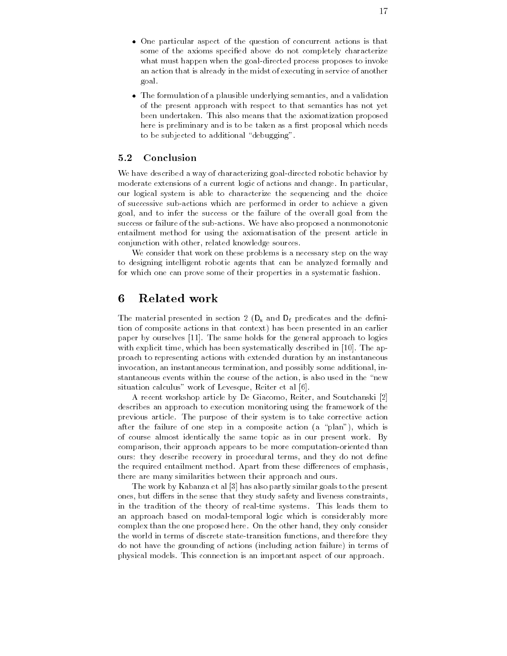- $\bullet$  One particular aspect of the question of concurrent actions is that some of the axioms specified above do not completely characterize what must happen when the goal-directed process proposes to invoke an action that is already in the midst of executing in service of another goal-
- $\bullet$  -fine formulation of a plausible underlying semantics, and a validation  $\bullet$ of the present approach with respect to that semantics has not yet been undertaken-taken-taken-taken-taken-taken-taken-taken-taken-taken-taken-taken-taken-taken-taken-taken-take here is preliminary and is to be taken as a first proposal which needs to be subjected to additional "debugging".

#### $5.2$ Conclusion

We have described a way of characterizing goaldirected robotic behavior by moderate extensions of a current logic of actions and change- In particular our logical system is able to characterize the sequencing and the choice of successive sub-actions which are performed in order to achieve a given goal, and to infer the success or the failure of the overall goal from the success or failure of the subactions- We have also proposed a nonmonotonic entailment method for using the axiomatisation of the present article in conjunction with other, related knowledge sources.

We consider that work on these problems is a necessary step on the way to designing intelligent robotic agents that can be analyzed formally and for which one can prove some of their properties in a systematic fashion-

## 6 Related work

The material presented in section 2  $(D_s$  and  $D_f$  predicates and the definition of composite actions in that context) has been presented in an earlier paper by ourselves paper and same holds for the general approach to logical to with explicit times which has been systematically described in part who applies proach to representing actions with extended duration by an instantaneous invocation an instantaneous termination and possibly some additional in stantaneous events within the course of the action, is also used in the "new situation calculus" work of Levesque, Reiter et al [6].

A recent workshop article by De Giacomo, Reiter, and Soutchanski [2] describes an approach to execution monitoring using the framework of the previous article- The purpose of their system is to take corrective action after the failure of one step in a composite action  $(a$  "plan"), which is of course almost identically the same topic as in our present work- By comparison, their approach appears to be more computation-oriented than ours: they describe recovery in procedural terms, and they do not define the required entailment method at report from these distribution are emphasised. there are many similarities between their approach and ours-

The work by Kabanza et al [3] has also partly similar goals to the present ones but di ers in the sense that they study safety and liveness constraints in the tradition of the theory of realtime systems- This leads them to an approach based on modaltemporal logic which is considerably more complex than the one proposed here- a new consideration only considered the consider the world in terms of discrete state-transition functions, and therefore they do not have the grounding of actions (including action failure) in terms of physical models- This connection is an important aspect of our approach-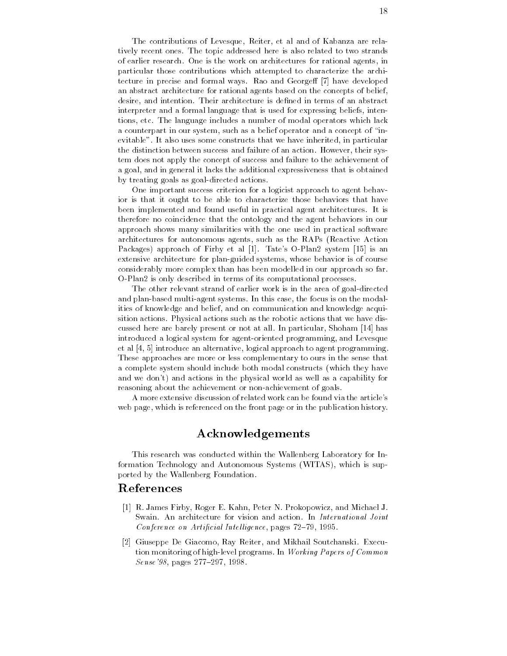The contributions of Levesque, Reiter, et al and of Kabanza are relatively recent ones- The topic addressed here is also related to two strands of earlier research- a research- and work on architectures for rational agents, in particular those contributions which attempted to characterize the archi tecture in precise and formal ways- Rao and George have developed an abstract architecture for rational agents based on the concepts of belief desire and intention- Their architecture is dened in terms of an abstract interpreter and a formal language that is used for expressing beliefs inten tions etc- The language includes a number of modal operators which lack a counterpart in our system, such as a belief operator and a concept of "inevitable-to-the-to-the-to-the-to-the-to-the-to-the-to-the-to-the-to-the-to-the-to-the-to-the-to-the-to-the-tothe distinction between success and failure of an action- However their sys tem does not apply the concept of success and failure to the achievement of a goal and in general it lacks the additional expressiveness that is obtained by treating goals as goal-directed actions.

One important success criterion for a logicist approach to agent behav ior is that it ought to be able to characterize those behaviors that have been implemented and found useful in practical agent architectures- It is therefore no coincidence that the ontology and the agent behaviors in our approach shows many similarities with the one used in practical software architectures for autonomous agents, such as the RAPs (Reactive Action Packages approach of Firby et al - Tates OPlan system is an extensive architecture for plan-guided systems, whose behavior is of course considerably more complex than has been modelled in our approach so far-O-Plan2 is only described in terms of its computational processes.

The other relevant strand of earlier work is in the area of goal-directed and planbased multiagent systems- In this case the focus is on the modal ities of knowledge and belief, and on communication and knowledge acquisition actions- a ci<sub>l</sub>ation actions such a state and that we have distinct actions that we have dist cussed here are barely present or not all-use range measured windows (r.e. ) has introduced a logical system for agent-oriented programming, and Levesque et al  $[4, 5]$  introduce an alternative, logical approach to agent programming. These approaches are more or less complementary to ours in the sense that a complete system should include both modal constructs (which they have and we don't) and actions in the physical world as well as a capability for reasoning about the achievement or non-achievement of goals.

A more extensive discussion of related work can be found via the article's web page, which is referenced on the front page or in the publication history.

## Acknowledgements

This research was conducted within the Wallenberg Laboratory for In formation Technology and Autonomous Systems (WITAS), which is supported by the Wallenberg Foundation.

## References

- R- James Firby Roger E- Kahn Peter N- Prokopowicz and Michael J-Conference on Artificial Intelligence, pages  $72-79$ ,  $1995$ .
- Giuseppe De Giacomo Ray Reiter and Mikhail Soutchanski- Execu tion monitoring of highlevel programs- In Working Papers of Common  $Sense$ '98, pages 277-297, 1998.